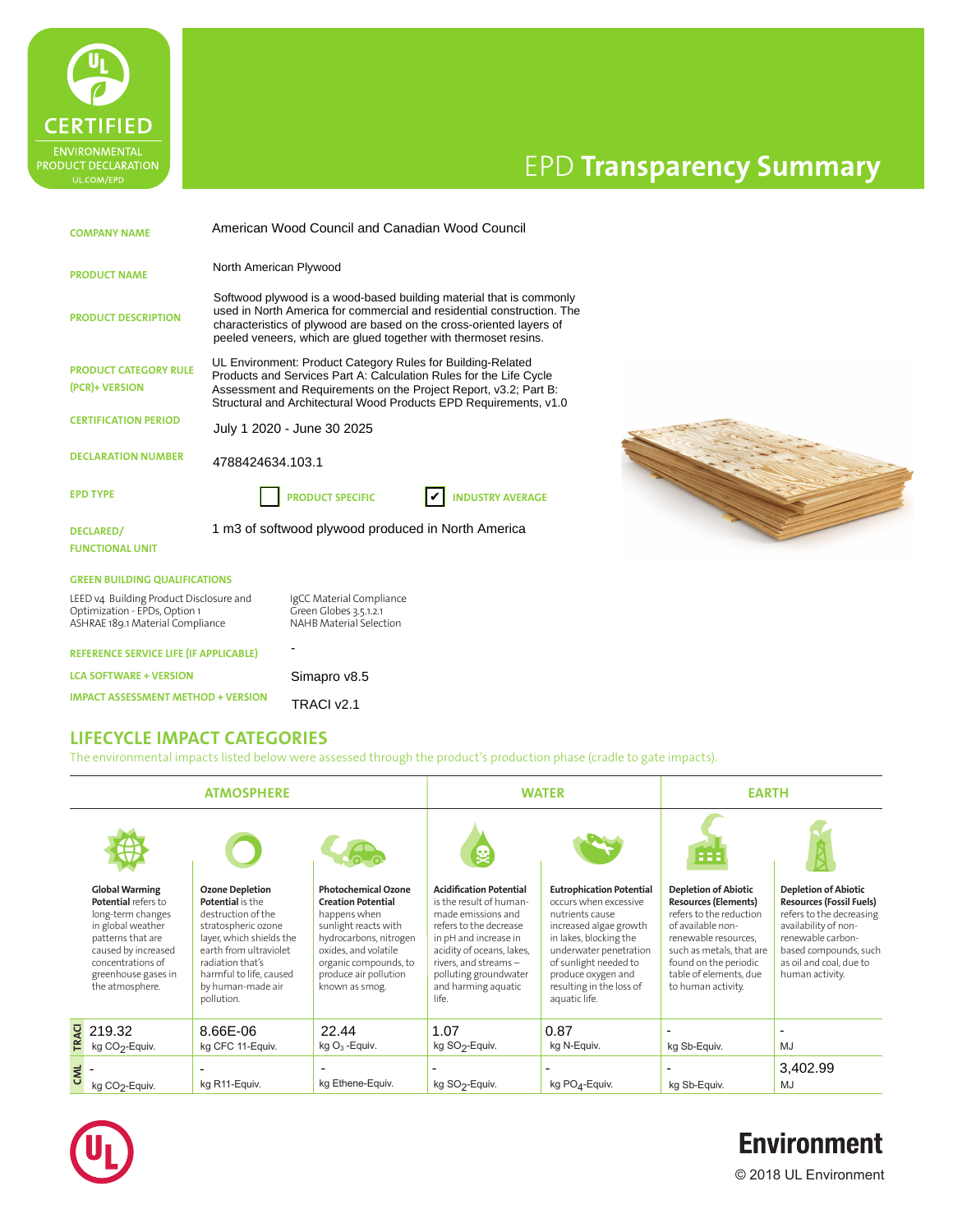

# EPD **Transparency Summary**

**HI RESOLUTION IMAGE HERE**

| <b>COMPANY NAME</b>                                                                                          | American Wood Council and Canadian Wood Council                                                                                                                                                                                                                                          |                                                                                      |                         |  |
|--------------------------------------------------------------------------------------------------------------|------------------------------------------------------------------------------------------------------------------------------------------------------------------------------------------------------------------------------------------------------------------------------------------|--------------------------------------------------------------------------------------|-------------------------|--|
| <b>PRODUCT NAME</b>                                                                                          | North American Plywood                                                                                                                                                                                                                                                                   |                                                                                      |                         |  |
| <b>PRODUCT DESCRIPTION</b>                                                                                   | Softwood plywood is a wood-based building material that is commonly<br>used in North America for commercial and residential construction. The<br>characteristics of plywood are based on the cross-oriented layers of<br>peeled veneers, which are glued together with thermoset resins. |                                                                                      |                         |  |
| <b>PRODUCT CATEGORY RULE</b><br>(PCR)+ VERSION                                                               | UL Environment: Product Category Rules for Building-Related<br>Products and Services Part A: Calculation Rules for the Life Cycle<br>Assessment and Requirements on the Project Report, v3.2; Part B:<br>Structural and Architectural Wood Products EPD Requirements, v1.0               |                                                                                      |                         |  |
| <b>CERTIFICATION PERIOD</b>                                                                                  | July 1 2020 - June 30 2025                                                                                                                                                                                                                                                               |                                                                                      |                         |  |
| <b>DECLARATION NUMBER</b>                                                                                    | 4788424634.103.1                                                                                                                                                                                                                                                                         |                                                                                      |                         |  |
| <b>EPD TYPE</b>                                                                                              |                                                                                                                                                                                                                                                                                          | <b>PRODUCT SPECIFIC</b>                                                              | <b>INDUSTRY AVERAGE</b> |  |
| DECLARED/<br><b>FUNCTIONAL UNIT</b>                                                                          |                                                                                                                                                                                                                                                                                          | 1 m3 of softwood plywood produced in North America                                   |                         |  |
| <b>GREEN BUILDING QUALIFICATIONS</b>                                                                         |                                                                                                                                                                                                                                                                                          |                                                                                      |                         |  |
| LEED v4 Building Product Disclosure and<br>Optimization - EPDs, Option 1<br>ASHRAE 189.1 Material Compliance |                                                                                                                                                                                                                                                                                          | IgCC Material Compliance<br>Green Globes 3.5.1.2.1<br><b>NAHB Material Selection</b> |                         |  |
| <b>REFERENCE SERVICE LIFE (IF APPLICABLE)</b>                                                                |                                                                                                                                                                                                                                                                                          |                                                                                      |                         |  |
| <b>LCA SOFTWARE + VERSION</b>                                                                                |                                                                                                                                                                                                                                                                                          | Simapro v8.5                                                                         |                         |  |
| <b>IMPACT ASSESSMENT METHOD + VERSION</b>                                                                    |                                                                                                                                                                                                                                                                                          | TRACI v2.1                                                                           |                         |  |

#### **LIFECYCLE IMPACT CATEGORIES**

The environmental impacts listed below were assessed through the product's production phase (cradle to gate impacts).

| <b>ATMOSPHERE</b> |                                                                                                                                                                                                   | <b>WATER</b>                                                                                                                                                                                                                           |                                                                                                                                                                                                                       | <b>EARTH</b>                                                                                                                                                                                                                                     |                                                                                                                                                                                                                                                       |                                                                                                                                                                                                                                         |                                                                                                                                                                                                                |
|-------------------|---------------------------------------------------------------------------------------------------------------------------------------------------------------------------------------------------|----------------------------------------------------------------------------------------------------------------------------------------------------------------------------------------------------------------------------------------|-----------------------------------------------------------------------------------------------------------------------------------------------------------------------------------------------------------------------|--------------------------------------------------------------------------------------------------------------------------------------------------------------------------------------------------------------------------------------------------|-------------------------------------------------------------------------------------------------------------------------------------------------------------------------------------------------------------------------------------------------------|-----------------------------------------------------------------------------------------------------------------------------------------------------------------------------------------------------------------------------------------|----------------------------------------------------------------------------------------------------------------------------------------------------------------------------------------------------------------|
|                   |                                                                                                                                                                                                   |                                                                                                                                                                                                                                        |                                                                                                                                                                                                                       |                                                                                                                                                                                                                                                  |                                                                                                                                                                                                                                                       | 888                                                                                                                                                                                                                                     |                                                                                                                                                                                                                |
|                   | <b>Global Warming</b><br>Potential refers to<br>long-term changes<br>in global weather<br>patterns that are<br>caused by increased<br>concentrations of<br>greenhouse gases in<br>the atmosphere. | <b>Ozone Depletion</b><br><b>Potential</b> is the<br>destruction of the<br>stratospheric ozone<br>layer, which shields the<br>earth from ultraviolet<br>radiation that's<br>harmful to life, caused<br>by human-made air<br>pollution. | <b>Photochemical Ozone</b><br><b>Creation Potential</b><br>happens when<br>sunlight reacts with<br>hydrocarbons, nitrogen<br>oxides, and volatile<br>organic compounds, to<br>produce air pollution<br>known as smog. | <b>Acidification Potential</b><br>is the result of human-<br>made emissions and<br>refers to the decrease<br>in pH and increase in<br>acidity of oceans, lakes,<br>rivers, and streams-<br>polluting groundwater<br>and harming aquatic<br>life. | <b>Eutrophication Potential</b><br>occurs when excessive<br>nutrients cause<br>increased algae growth<br>in lakes, blocking the<br>underwater penetration<br>of sunlight needed to<br>produce oxygen and<br>resulting in the loss of<br>aquatic life. | <b>Depletion of Abiotic</b><br><b>Resources (Elements)</b><br>refers to the reduction<br>of available non-<br>renewable resources.<br>such as metals, that are<br>found on the periodic<br>table of elements, due<br>to human activity. | <b>Depletion of Abiotic</b><br><b>Resources (Fossil Fuels)</b><br>refers to the decreasing<br>availability of non-<br>renewable carbon-<br>based compounds, such<br>as oil and coal, due to<br>human activity. |
|                   | $\frac{1}{2}$ 219.32<br>kg CO <sub>2</sub> -Equiv.                                                                                                                                                | 8.66E-06<br>kg CFC 11-Equiv.                                                                                                                                                                                                           | 22.44<br>kg $O_3$ -Equiv.                                                                                                                                                                                             | 1.07<br>kg SO <sub>2</sub> -Equiv.                                                                                                                                                                                                               | 0.87<br>kg N-Equiv.                                                                                                                                                                                                                                   | kg Sb-Equiv.                                                                                                                                                                                                                            | MJ                                                                                                                                                                                                             |
| CML               | kg CO <sub>2</sub> -Equiv.                                                                                                                                                                        | kg R11-Equiv.                                                                                                                                                                                                                          | kg Ethene-Equiv.                                                                                                                                                                                                      | $\overline{\phantom{0}}$<br>kg SO <sub>2</sub> -Equiv.                                                                                                                                                                                           | kg $PO4$ -Equiv.                                                                                                                                                                                                                                      | kg Sb-Equiv.                                                                                                                                                                                                                            | 3,402.99<br>MJ                                                                                                                                                                                                 |



## **Environment**

© 2018 UL Environment